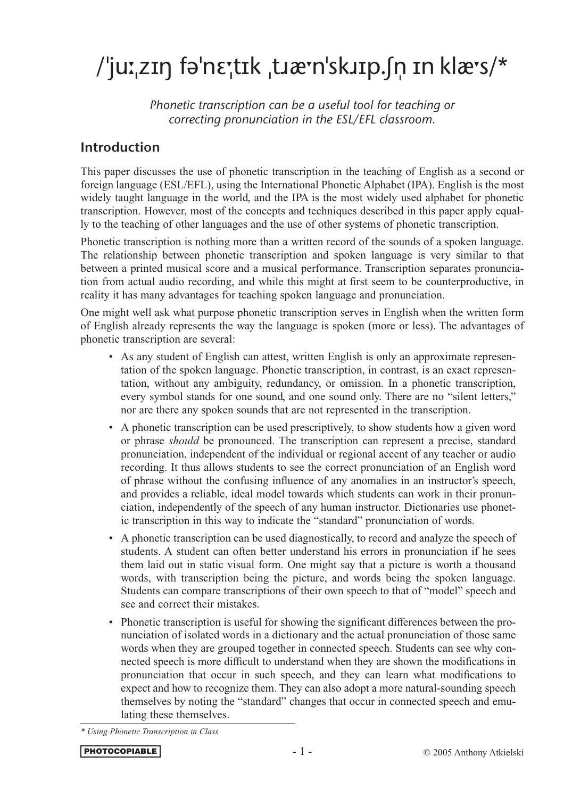# /'juːˌzɪŋ fəˈnεː̥tɪk ˌtɹæ·nˈskɹɪp.ʃn ɪn klæ·s/\*

*Phonetic transcription can be a useful tool for teaching or correcting pronunciation in the ESL/EFL classroom.*

# Introduction

This paper discusses the use of phonetic transcription in the teaching of English as a second or foreign language (ESL/EFL), using the International Phonetic Alphabet (IPA). English is the most widely taught language in the world, and the IPA is the most widely used alphabet for phonetic transcription. However, most of the concepts and techniques described in this paper apply equally to the teaching of other languages and the use of other systems of phonetic transcription.

Phonetic transcription is nothing more than a written record of the sounds of a spoken language. The relationship between phonetic transcription and spoken language is very similar to that between a printed musical score and a musical performance. Transcription separates pronunciation from actual audio recording, and while this might at first seem to be counterproductive, in reality it has many advantages for teaching spoken language and pronunciation.

One might well ask what purpose phonetic transcription serves in English when the written form of English already represents the way the language is spoken (more or less). The advantages of phonetic transcription are several:

- As any student of English can attest, written English is only an approximate representation of the spoken language. Phonetic transcription, in contrast, is an exact representation, without any ambiguity, redundancy, or omission. In a phonetic transcription, every symbol stands for one sound, and one sound only. There are no "silent letters," nor are there any spoken sounds that are not represented in the transcription.
- A phonetic transcription can be used prescriptively, to show students how a given word or phrase *should* be pronounced. The transcription can represent a precise, standard pronunciation, independent of the individual or regional accent of any teacher or audio recording. It thus allows students to see the correct pronunciation of an English word of phrase without the confusing influence of any anomalies in an instructor's speech, and provides a reliable, ideal model towards which students can work in their pronunciation, independently of the speech of any human instructor. Dictionaries use phonetic transcription in this way to indicate the "standard" pronunciation of words.
- A phonetic transcription can be used diagnostically, to record and analyze the speech of students. A student can often better understand his errors in pronunciation if he sees them laid out in static visual form. One might say that a picture is worth a thousand words, with transcription being the picture, and words being the spoken language. Students can compare transcriptions of their own speech to that of "model" speech and see and correct their mistakes.
- Phonetic transcription is useful for showing the significant differences between the pronunciation of isolated words in a dictionary and the actual pronunciation of those same words when they are grouped together in connected speech. Students can see why connected speech is more difficult to understand when they are shown the modifications in pronunciation that occur in such speech, and they can learn what modifications to expect and how to recognize them. They can also adopt a more natural-sounding speech themselves by noting the "standard" changes that occur in connected speech and emulating these themselves.

*<sup>\*</sup> Using Phonetic Transcription in Class*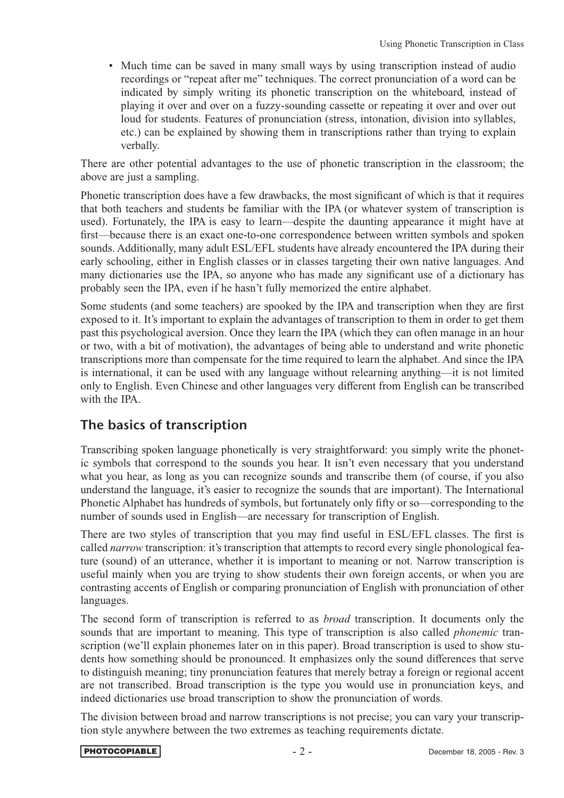• Much time can be saved in many small ways by using transcription instead of audio recordings or "repeat after me" techniques. The correct pronunciation of a word can be indicated by simply writing its phonetic transcription on the whiteboard, instead of playing it over and over on a fuzzy-sounding cassette or repeating it over and over out loud for students. Features of pronunciation (stress, intonation, division into syllables, etc.) can be explained by showing them in transcriptions rather than trying to explain verbally.

There are other potential advantages to the use of phonetic transcription in the classroom; the above are just a sampling.

Phonetic transcription does have a few drawbacks, the most significant of which is that it requires that both teachers and students be familiar with the IPA (or whatever system of transcription is used). Fortunately, the IPA is easy to learn—despite the daunting appearance it might have at first—because there is an exact one-to-one correspondence between written symbols and spoken sounds. Additionally, many adult ESL/EFL students have already encountered the IPA during their early schooling, either in English classes or in classes targeting their own native languages. And many dictionaries use the IPA, so anyone who has made any significant use of a dictionary has probably seen the IPA, even if he hasn't fully memorized the entire alphabet.

Some students (and some teachers) are spooked by the IPA and transcription when they are first exposed to it. It's important to explain the advantages of transcription to them in order to get them past this psychological aversion. Once they learn the IPA (which they can often manage in an hour or two, with a bit of motivation), the advantages of being able to understand and write phonetic transcriptions more than compensate for the time required to learn the alphabet. And since the IPA is international, it can be used with any language without relearning anything—it is not limited only to English. Even Chinese and other languages very different from English can be transcribed with the IPA.

# The basics of transcription

Transcribing spoken language phonetically is very straightforward: you simply write the phonetic symbols that correspond to the sounds you hear. It isn't even necessary that you understand what you hear, as long as you can recognize sounds and transcribe them (of course, if you also understand the language, it's easier to recognize the sounds that are important). The International Phonetic Alphabet has hundreds of symbols, but fortunately only fifty or so—corresponding to the number of sounds used in English—are necessary for transcription of English.

There are two styles of transcription that you may find useful in ESL/EFL classes. The first is called *narrow* transcription: it's transcription that attempts to record every single phonological feature (sound) of an utterance, whether it is important to meaning or not. Narrow transcription is useful mainly when you are trying to show students their own foreign accents, or when you are contrasting accents of English or comparing pronunciation of English with pronunciation of other languages.

The second form of transcription is referred to as *broad* transcription. It documents only the sounds that are important to meaning. This type of transcription is also called *phonemic* transcription (we'll explain phonemes later on in this paper). Broad transcription is used to show students how something should be pronounced. It emphasizes only the sound differences that serve to distinguish meaning; tiny pronunciation features that merely betray a foreign or regional accent are not transcribed. Broad transcription is the type you would use in pronunciation keys, and indeed dictionaries use broad transcription to show the pronunciation of words.

The division between broad and narrow transcriptions is not precise; you can vary your transcription style anywhere between the two extremes as teaching requirements dictate.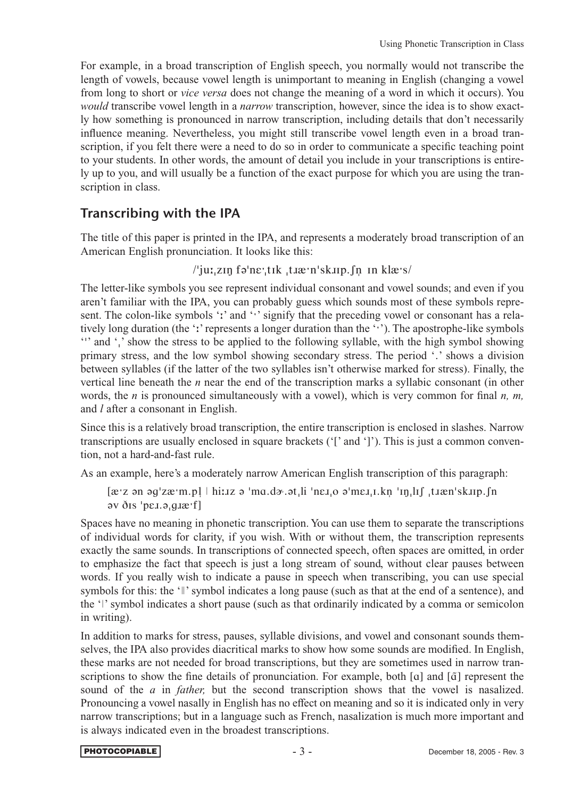For example, in a broad transcription of English speech, you normally would not transcribe the length of vowels, because vowel length is unimportant to meaning in English (changing a vowel from long to short or *vice versa* does not change the meaning of a word in which it occurs). You *would* transcribe vowel length in a *narrow* transcription, however, since the idea is to show exactly how something is pronounced in narrow transcription, including details that don't necessarily influence meaning. Nevertheless, you might still transcribe vowel length even in a broad transcription, if you felt there were a need to do so in order to communicate a specific teaching point to your students. In other words, the amount of detail you include in your transcriptions is entirely up to you, and will usually be a function of the exact purpose for which you are using the transcription in class.

### Transcribing with the IPA

The title of this paper is printed in the IPA, and represents a moderately broad transcription of an American English pronunciation. It looks like this:

/'iuː.zɪn fəˈnɛː.tɪk .tɹæːnˈskɹɪp.fn\_ɪn klæːs/

The letter-like symbols you see represent individual consonant and vowel sounds; and even if you aren't familiar with the IPA, you can probably guess which sounds most of these symbols represent. The colon-like symbols ':' and '' signify that the preceding vowel or consonant has a relatively long duration (the ':' represents a longer duration than the '''). The apostrophe-like symbols "' and ',' show the stress to be applied to the following syllable, with the high symbol showing primary stress, and the low symbol showing secondary stress. The period '.' shows a division between syllables (if the latter of the two syllables isn't otherwise marked for stress). Finally, the vertical line beneath the *n* near the end of the transcription marks a syllabic consonant (in other words, the *n* is pronounced simultaneously with a vowel), which is very common for final *n, m,* and *l* after a consonant in English.

Since this is a relatively broad transcription, the entire transcription is enclosed in slashes. Narrow transcriptions are usually enclosed in square brackets ('[' and ']'). This is just a common convention, not a hard-and-fast rule.

As an example, here's a moderately narrow American English transcription of this paragraph:

 $[\texttt{a:z on 9y'zæ'm.pl} \mid \texttt{h:uz o 'ma.də'.ət_i!} \text{ 'neg_i o ə'mez_i.l.kņ 'ın_i.lıf 'tıæn'sk.!p.fn$ əv ðis 'pel.ə.q.ræ'fl

Spaces have no meaning in phonetic transcription. You can use them to separate the transcriptions of individual words for clarity, if you wish. With or without them, the transcription represents exactly the same sounds. In transcriptions of connected speech, often spaces are omitted, in order to emphasize the fact that speech is just a long stream of sound, without clear pauses between words. If you really wish to indicate a pause in speech when transcribing, you can use special symbols for this: the '*l*' symbol indicates a long pause (such as that at the end of a sentence), and the '' symbol indicates a short pause (such as that ordinarily indicated by a comma or semicolon in writing).

In addition to marks for stress, pauses, syllable divisions, and vowel and consonant sounds themselves, the IPA also provides diacritical marks to show how some sounds are modified. In English, these marks are not needed for broad transcriptions, but they are sometimes used in narrow transcriptions to show the fine details of pronunciation. For example, both [a] and [ $\tilde{a}$ ] represent the sound of the *a* in *father,* but the second transcription shows that the vowel is nasalized. Pronouncing a vowel nasally in English has no effect on meaning and so it is indicated only in very narrow transcriptions; but in a language such as French, nasalization is much more important and is always indicated even in the broadest transcriptions.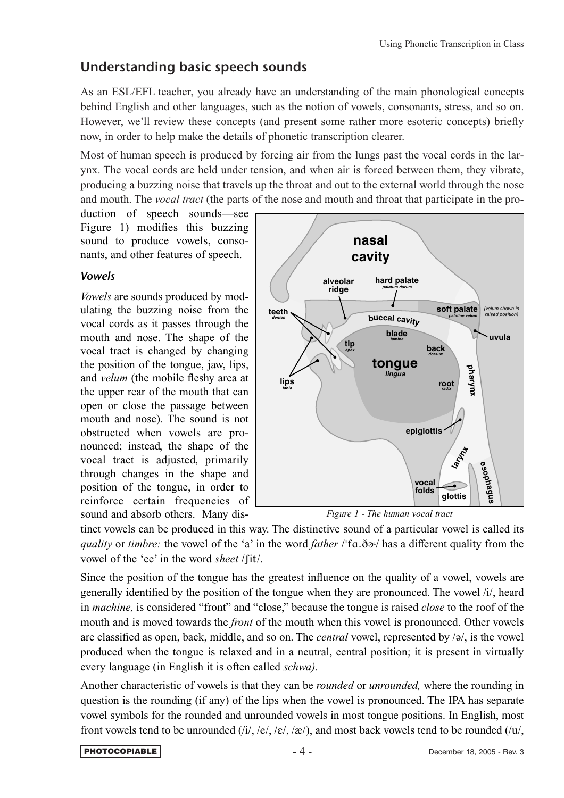# Understanding basic speech sounds

As an ESL/EFL teacher, you already have an understanding of the main phonological concepts behind English and other languages, such as the notion of vowels, consonants, stress, and so on. However, we'll review these concepts (and present some rather more esoteric concepts) briefly now, in order to help make the details of phonetic transcription clearer.

Most of human speech is produced by forcing air from the lungs past the vocal cords in the larynx. The vocal cords are held under tension, and when air is forced between them, they vibrate, producing a buzzing noise that travels up the throat and out to the external world through the nose and mouth. The *vocal tract* (the parts of the nose and mouth and throat that participate in the pro-

duction of speech sounds—see Figure 1) modifies this buzzing sound to produce vowels, consonants, and other features of speech.

### *Vowels*

*Vowels* are sounds produced by modulating the buzzing noise from the vocal cords as it passes through the mouth and nose. The shape of the vocal tract is changed by changing the position of the tongue, jaw, lips, and *velum* (the mobile fleshy area at the upper rear of the mouth that can open or close the passage between mouth and nose). The sound is not obstructed when vowels are pronounced; instead, the shape of the vocal tract is adjusted, primarily through changes in the shape and position of the tongue, in order to reinforce certain frequencies of sound and absorb others. Many dis-



*Figure 1 - The human vocal tract*

tinct vowels can be produced in this way. The distinctive sound of a particular vowel is called its *quality* or *timbre*: the vowel of the 'a' in the word *father* /'fa.ð $\sigma$ / has a different quality from the vowel of the 'ee' in the word *sheet* /ʃit/.

Since the position of the tongue has the greatest influence on the quality of a vowel, vowels are generally identified by the position of the tongue when they are pronounced. The vowel /i/, heard in *machine,* is considered "front" and "close," because the tongue is raised *close* to the roof of the mouth and is moved towards the *front* of the mouth when this vowel is pronounced. Other vowels are classified as open, back, middle, and so on. The *central* vowel, represented by /ə/, is the vowel produced when the tongue is relaxed and in a neutral, central position; it is present in virtually every language (in English it is often called *schwa).*

Another characteristic of vowels is that they can be *rounded* or *unrounded,* where the rounding in question is the rounding (if any) of the lips when the vowel is pronounced. The IPA has separate vowel symbols for the rounded and unrounded vowels in most tongue positions. In English, most front vowels tend to be unrounded  $(i, j, \varepsilon, \varepsilon, \varepsilon)$ , and most back vowels tend to be rounded  $(i, u)$ ,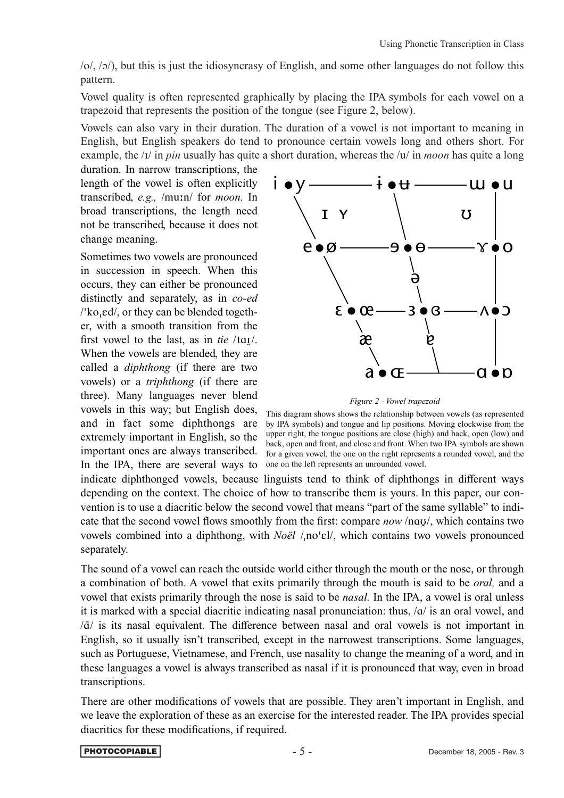/o/, /ɔ/), but this is just the idiosyncrasy of English, and some other languages do not follow this pattern.

Vowel quality is often represented graphically by placing the IPA symbols for each vowel on a trapezoid that represents the position of the tongue (see Figure 2, below).

Vowels can also vary in their duration. The duration of a vowel is not important to meaning in English, but English speakers do tend to pronounce certain vowels long and others short. For example, the /i/ in *pin* usually has quite a short duration, whereas the /u/ in *moon* has quite a long

duration. In narrow transcriptions, the length of the vowel is often explicitly transcribed, *e.g.,* /mun/ for *moon.* In broad transcriptions, the length need not be transcribed, because it does not change meaning.

Sometimes two vowels are pronounced in succession in speech. When this occurs, they can either be pronounced distinctly and separately, as in *co-ed* /'ko<sub>'</sub>ed/, or they can be blended together, with a smooth transition from the first vowel to the last, as in *tie* /tɑi/. When the vowels are blended, they are called a *diphthong* (if there are two vowels) or a *triphthong* (if there are three). Many languages never blend vowels in this way; but English does, and in fact some diphthongs are extremely important in English, so the important ones are always transcribed. In the IPA, there are several ways to



*Figure 2 - Vowel trapezoid*

This diagram shows shows the relationship between vowels (as represented by IPA symbols) and tongue and lip positions. Moving clockwise from the upper right, the tongue positions are close (high) and back, open (low) and back, open and front, and close and front. When two IPA symbols are shown for a given vowel, the one on the right represents a rounded vowel, and the one on the left represents an unrounded vowel.

indicate diphthonged vowels, because linguists tend to think of diphthongs in different ways depending on the context. The choice of how to transcribe them is yours. In this paper, our convention is to use a diacritic below the second vowel that means "part of the same syllable" to indicate that the second vowel flows smoothly from the first: compare *now* /nɑυ/, which contains two vowels combined into a diphthong, with *Noël* /<sub>1</sub>no'ɛl/, which contains two vowels pronounced separately.

The sound of a vowel can reach the outside world either through the mouth or the nose, or through a combination of both. A vowel that exits primarily through the mouth is said to be *oral,* and a vowel that exists primarily through the nose is said to be *nasal.* In the IPA, a vowel is oral unless it is marked with a special diacritic indicating nasal pronunciation: thus, /ɑ/ is an oral vowel, and  $\sqrt{a}$  is its nasal equivalent. The difference between nasal and oral vowels is not important in English, so it usually isn't transcribed, except in the narrowest transcriptions. Some languages, such as Portuguese, Vietnamese, and French, use nasality to change the meaning of a word, and in these languages a vowel is always transcribed as nasal if it is pronounced that way, even in broad transcriptions.

There are other modifications of vowels that are possible. They aren't important in English, and we leave the exploration of these as an exercise for the interested reader. The IPA provides special diacritics for these modifications, if required.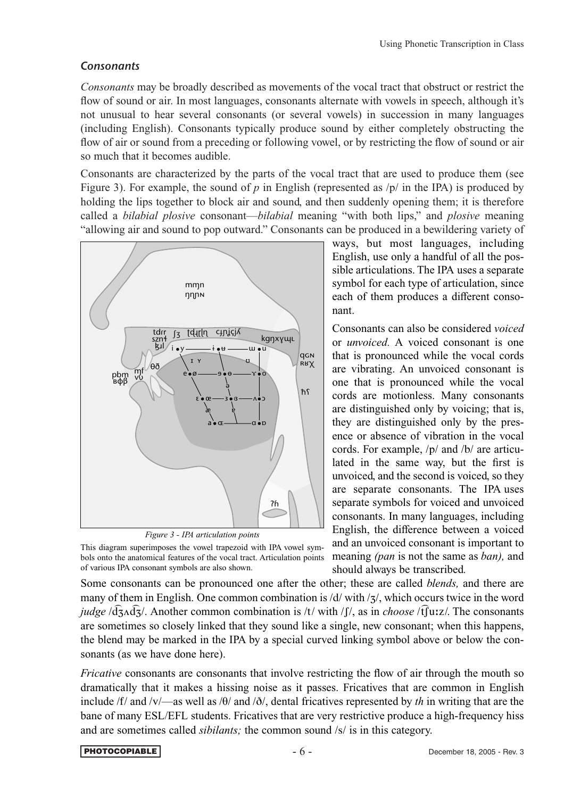### *Consonants*

*Consonants* may be broadly described as movements of the vocal tract that obstruct or restrict the flow of sound or air. In most languages, consonants alternate with vowels in speech, although it's not unusual to hear several consonants (or several vowels) in succession in many languages (including English). Consonants typically produce sound by either completely obstructing the flow of air or sound from a preceding or following vowel, or by restricting the flow of sound or air so much that it becomes audible.

Consonants are characterized by the parts of the vocal tract that are used to produce them (see Figure 3). For example, the sound of *p* in English (represented as  $/p/$  in the IPA) is produced by holding the lips together to block air and sound, and then suddenly opening them; it is therefore called a *bilabial plosive* consonant—*bilabial* meaning "with both lips," and *plosive* meaning "allowing air and sound to pop outward." Consonants can be produced in a bewildering variety of



*Figure 3 - IPA articulation points*

This diagram superimposes the vowel trapezoid with IPA vowel symbols onto the anatomical features of the vocal tract. Articulation points of various IPA consonant symbols are also shown.

ways, but most languages, including English, use only a handful of all the possible articulations. The IPA uses a separate symbol for each type of articulation, since each of them produces a different consonant.

Consonants can also be considered *voiced* or *unvoiced.* A voiced consonant is one that is pronounced while the vocal cords are vibrating. An unvoiced consonant is one that is pronounced while the vocal cords are motionless. Many consonants are distinguished only by voicing; that is, they are distinguished only by the presence or absence of vibration in the vocal cords. For example, /p/ and /b/ are articulated in the same way, but the first is unvoiced, and the second is voiced, so they are separate consonants. The IPA uses separate symbols for voiced and unvoiced consonants. In many languages, including English, the difference between a voiced and an unvoiced consonant is important to meaning *(pan* is not the same as *ban),* and should always be transcribed*.*

Some consonants can be pronounced one after the other; these are called *blends,* and there are many of them in English. One common combination is  $\frac{d}{dx}$ , which occurs twice in the word *judge*  $\sqrt{d_3} \wedge d_3$ . Another common combination is /t/ with /f/, as in *choose* /tf uz/. The consonants are sometimes so closely linked that they sound like a single, new consonant; when this happens, the blend may be marked in the IPA by a special curved linking symbol above or below the consonants (as we have done here).

*Fricative* consonants are consonants that involve restricting the flow of air through the mouth so dramatically that it makes a hissing noise as it passes. Fricatives that are common in English include /f/ and /v/—as well as /θ/ and /ð/, dental fricatives represented by *th* in writing that are the bane of many ESL/EFL students. Fricatives that are very restrictive produce a high-frequency hiss and are sometimes called *sibilants;* the common sound /s/ is in this category.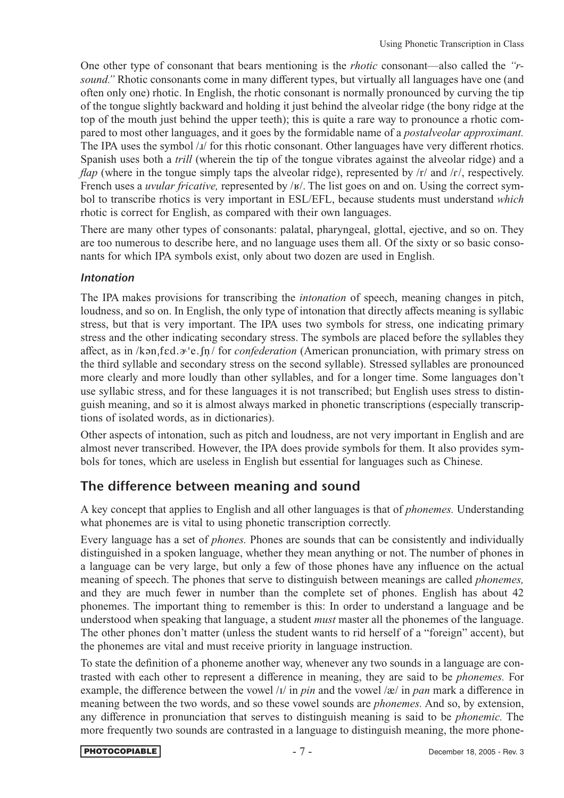One other type of consonant that bears mentioning is the *rhotic* consonant—also called the *"rsound.*" Rhotic consonants come in many different types, but virtually all languages have one (and often only one) rhotic. In English, the rhotic consonant is normally pronounced by curving the tip of the tongue slightly backward and holding it just behind the alveolar ridge (the bony ridge at the top of the mouth just behind the upper teeth); this is quite a rare way to pronounce a rhotic compared to most other languages, and it goes by the formidable name of a *postalveolar approximant.* The IPA uses the symbol / $I$ / for this rhotic consonant. Other languages have very different rhotics. Spanish uses both a *trill* (wherein the tip of the tongue vibrates against the alveolar ridge) and a *flap* (where in the tongue simply taps the alveolar ridge), represented by /r/ and /r/, respectively. French uses a *uvular fricative*, represented by /ʁ/. The list goes on and on. Using the correct symbol to transcribe rhotics is very important in ESL/EFL, because students must understand *which* rhotic is correct for English, as compared with their own languages.

There are many other types of consonants: palatal, pharyngeal, glottal, ejective, and so on. They are too numerous to describe here, and no language uses them all. Of the sixty or so basic consonants for which IPA symbols exist, only about two dozen are used in English.

### *Intonation*

The IPA makes provisions for transcribing the *intonation* of speech, meaning changes in pitch, loudness, and so on. In English, the only type of intonation that directly affects meaning is syllabic stress, but that is very important. The IPA uses two symbols for stress, one indicating primary stress and the other indicating secondary stress. The symbols are placed before the syllables they affect, as in /kən<sub>i</sub>fed. $\sigma$ <sup>'</sup>e.*fn*/ for *confederation* (American pronunciation, with primary stress on the third syllable and secondary stress on the second syllable). Stressed syllables are pronounced more clearly and more loudly than other syllables, and for a longer time. Some languages don't use syllabic stress, and for these languages it is not transcribed; but English uses stress to distinguish meaning, and so it is almost always marked in phonetic transcriptions (especially transcriptions of isolated words, as in dictionaries).

Other aspects of intonation, such as pitch and loudness, are not very important in English and are almost never transcribed. However, the IPA does provide symbols for them. It also provides symbols for tones, which are useless in English but essential for languages such as Chinese.

## The difference between meaning and sound

A key concept that applies to English and all other languages is that of *phonemes.* Understanding what phonemes are is vital to using phonetic transcription correctly.

Every language has a set of *phones.* Phones are sounds that can be consistently and individually distinguished in a spoken language, whether they mean anything or not. The number of phones in a language can be very large, but only a few of those phones have any influence on the actual meaning of speech. The phones that serve to distinguish between meanings are called *phonemes,* and they are much fewer in number than the complete set of phones. English has about 42 phonemes. The important thing to remember is this: In order to understand a language and be understood when speaking that language, a student *must* master all the phonemes of the language. The other phones don't matter (unless the student wants to rid herself of a "foreign" accent), but the phonemes are vital and must receive priority in language instruction.

To state the definition of a phoneme another way, whenever any two sounds in a language are contrasted with each other to represent a difference in meaning, they are said to be *phonemes.* For example, the difference between the vowel  $|I|$  in *pin* and the vowel  $|\mathcal{R}|$  in *pan* mark a difference in meaning between the two words, and so these vowel sounds are *phonemes.* And so, by extension, any difference in pronunciation that serves to distinguish meaning is said to be *phonemic.* The more frequently two sounds are contrasted in a language to distinguish meaning, the more phone-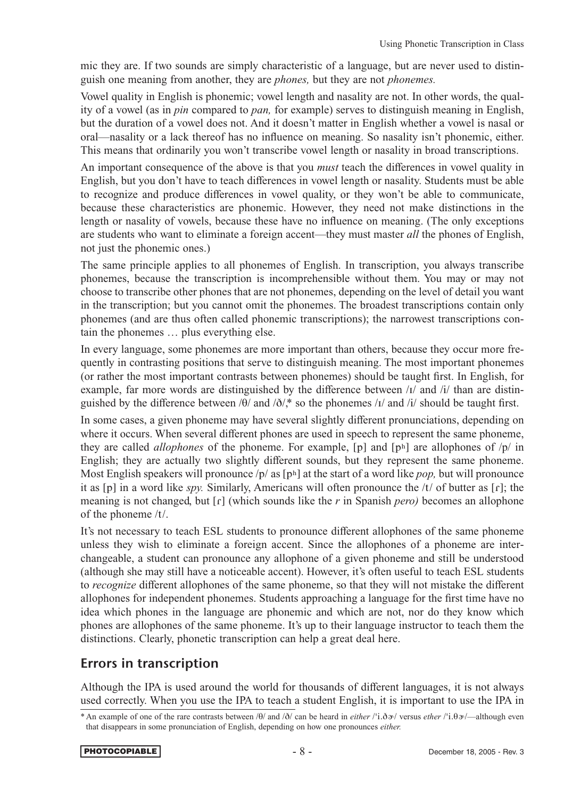mic they are. If two sounds are simply characteristic of a language, but are never used to distinguish one meaning from another, they are *phones,* but they are not *phonemes.*

Vowel quality in English is phonemic; vowel length and nasality are not. In other words, the quality of a vowel (as in *pin* compared to *pan,* for example) serves to distinguish meaning in English, but the duration of a vowel does not. And it doesn't matter in English whether a vowel is nasal or oral—nasality or a lack thereof has no influence on meaning. So nasality isn't phonemic, either. This means that ordinarily you won't transcribe vowel length or nasality in broad transcriptions.

An important consequence of the above is that you *must* teach the differences in vowel quality in English, but you don't have to teach differences in vowel length or nasality. Students must be able to recognize and produce differences in vowel quality, or they won't be able to communicate, because these characteristics are phonemic. However, they need not make distinctions in the length or nasality of vowels, because these have no influence on meaning. (The only exceptions are students who want to eliminate a foreign accent—they must master *all* the phones of English, not just the phonemic ones.)

The same principle applies to all phonemes of English. In transcription, you always transcribe phonemes, because the transcription is incomprehensible without them. You may or may not choose to transcribe other phones that are not phonemes, depending on the level of detail you want in the transcription; but you cannot omit the phonemes. The broadest transcriptions contain only phonemes (and are thus often called phonemic transcriptions); the narrowest transcriptions contain the phonemes … plus everything else.

In every language, some phonemes are more important than others, because they occur more frequently in contrasting positions that serve to distinguish meaning. The most important phonemes (or rather the most important contrasts between phonemes) should be taught first. In English, for example, far more words are distinguished by the difference between  $\frac{1}{4}$  and  $\frac{1}{4}$  than are distinguished by the difference between /θ/ and /ð/,\* so the phonemes /i/ and /i/ should be taught first.

In some cases, a given phoneme may have several slightly different pronunciations, depending on where it occurs. When several different phones are used in speech to represent the same phoneme, they are called *allophones* of the phoneme. For example, [p] and  $[p<sup>h</sup>]$  are allophones of  $/p/$  in English; they are actually two slightly different sounds, but they represent the same phoneme. Most English speakers will pronounce  $/p /$  as  $[p<sup>h</sup>]$  at the start of a word like *pop*, but will pronounce it as [p] in a word like *spy.* Similarly, Americans will often pronounce the /t/ of butter as [ɾ]; the meaning is not changed, but [ɾ] (which sounds like the *r* in Spanish *pero)* becomes an allophone of the phoneme /t/.

It's not necessary to teach ESL students to pronounce different allophones of the same phoneme unless they wish to eliminate a foreign accent. Since the allophones of a phoneme are interchangeable, a student can pronounce any allophone of a given phoneme and still be understood (although she may still have a noticeable accent). However, it's often useful to teach ESL students to *recognize* different allophones of the same phoneme, so that they will not mistake the different allophones for independent phonemes. Students approaching a language for the first time have no idea which phones in the language are phonemic and which are not, nor do they know which phones are allophones of the same phoneme. It's up to their language instructor to teach them the distinctions. Clearly, phonetic transcription can help a great deal here.

# Errors in transcription

Although the IPA is used around the world for thousands of different languages, it is not always used correctly. When you use the IPA to teach a student English, it is important to use the IPA in

<sup>\*</sup> An example of one of the rare contrasts between /θ/ and /ð/ can be heard in *either* /'i.ð»/ versus *ether* /'i.θ»/—although even that disappears in some pronunciation of English, depending on how one pronounces *either.*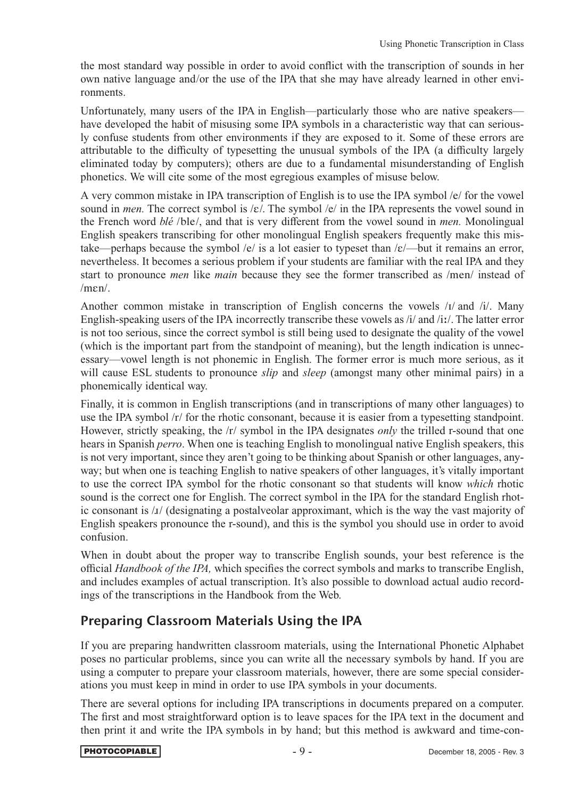the most standard way possible in order to avoid conflict with the transcription of sounds in her own native language and/or the use of the IPA that she may have already learned in other environments.

Unfortunately, many users of the IPA in English—particularly those who are native speakers have developed the habit of misusing some IPA symbols in a characteristic way that can seriously confuse students from other environments if they are exposed to it. Some of these errors are attributable to the difficulty of typesetting the unusual symbols of the IPA (a difficulty largely eliminated today by computers); others are due to a fundamental misunderstanding of English phonetics. We will cite some of the most egregious examples of misuse below.

A very common mistake in IPA transcription of English is to use the IPA symbol /e/ for the vowel sound in *men*. The correct symbol is  $\mathcal{E}/$ . The symbol  $\mathcal{E}/$  in the IPA represents the vowel sound in the French word *blé* /ble/, and that is very different from the vowel sound in *men.* Monolingual English speakers transcribing for other monolingual English speakers frequently make this mistake—perhaps because the symbol /e/ is a lot easier to typeset than  $\frac{\varepsilon}{\varepsilon}$  but it remains an error, nevertheless. It becomes a serious problem if your students are familiar with the real IPA and they start to pronounce *men* like *main* because they see the former transcribed as /men/ instead of /mεn/.

Another common mistake in transcription of English concerns the vowels /i/ and /i/. Many English-speaking users of the IPA incorrectly transcribe these vowels as /i/ and /iː/. The latter error is not too serious, since the correct symbol is still being used to designate the quality of the vowel (which is the important part from the standpoint of meaning), but the length indication is unnecessary—vowel length is not phonemic in English. The former error is much more serious, as it will cause ESL students to pronounce *slip* and *sleep* (amongst many other minimal pairs) in a phonemically identical way.

Finally, it is common in English transcriptions (and in transcriptions of many other languages) to use the IPA symbol /r/ for the rhotic consonant, because it is easier from a typesetting standpoint. However, strictly speaking, the /r/ symbol in the IPA designates *only* the trilled r-sound that one hears in Spanish *perro*. When one is teaching English to monolingual native English speakers, this is not very important, since they aren't going to be thinking about Spanish or other languages, anyway; but when one is teaching English to native speakers of other languages, it's vitally important to use the correct IPA symbol for the rhotic consonant so that students will know *which* rhotic sound is the correct one for English. The correct symbol in the IPA for the standard English rhotic consonant is /ɹ/ (designating a postalveolar approximant, which is the way the vast majority of English speakers pronounce the r-sound), and this is the symbol you should use in order to avoid confusion.

When in doubt about the proper way to transcribe English sounds, your best reference is the official *Handbook of the IPA,* which specifies the correct symbols and marks to transcribe English, and includes examples of actual transcription. It's also possible to download actual audio recordings of the transcriptions in the Handbook from the Web.

# Preparing Classroom Materials Using the IPA

If you are preparing handwritten classroom materials, using the International Phonetic Alphabet poses no particular problems, since you can write all the necessary symbols by hand. If you are using a computer to prepare your classroom materials, however, there are some special considerations you must keep in mind in order to use IPA symbols in your documents.

There are several options for including IPA transcriptions in documents prepared on a computer. The first and most straightforward option is to leave spaces for the IPA text in the document and then print it and write the IPA symbols in by hand; but this method is awkward and time-con-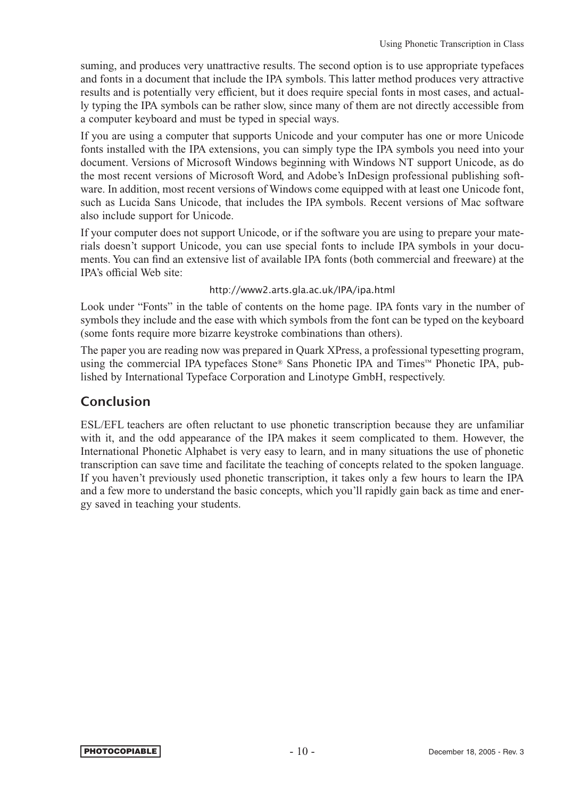suming, and produces very unattractive results. The second option is to use appropriate typefaces and fonts in a document that include the IPA symbols. This latter method produces very attractive results and is potentially very efficient, but it does require special fonts in most cases, and actually typing the IPA symbols can be rather slow, since many of them are not directly accessible from a computer keyboard and must be typed in special ways.

If you are using a computer that supports Unicode and your computer has one or more Unicode fonts installed with the IPA extensions, you can simply type the IPA symbols you need into your document. Versions of Microsoft Windows beginning with Windows NT support Unicode, as do the most recent versions of Microsoft Word, and Adobe's InDesign professional publishing software. In addition, most recent versions of Windows come equipped with at least one Unicode font, such as Lucida Sans Unicode, that includes the IPA symbols. Recent versions of Mac software also include support for Unicode.

If your computer does not support Unicode, or if the software you are using to prepare your materials doesn't support Unicode, you can use special fonts to include IPA symbols in your documents. You can find an extensive list of available IPA fonts (both commercial and freeware) at the IPA's official Web site:

### http://www2.arts.gla.ac.uk/IPA/ipa.html

Look under "Fonts" in the table of contents on the home page. IPA fonts vary in the number of symbols they include and the ease with which symbols from the font can be typed on the keyboard (some fonts require more bizarre keystroke combinations than others).

The paper you are reading now was prepared in Quark XPress, a professional typesetting program, using the commercial IPA typefaces Stone® Sans Phonetic IPA and Times™ Phonetic IPA, published by International Typeface Corporation and Linotype GmbH, respectively.

### Conclusion

ESL/EFL teachers are often reluctant to use phonetic transcription because they are unfamiliar with it, and the odd appearance of the IPA makes it seem complicated to them. However, the International Phonetic Alphabet is very easy to learn, and in many situations the use of phonetic transcription can save time and facilitate the teaching of concepts related to the spoken language. If you haven't previously used phonetic transcription, it takes only a few hours to learn the IPA and a few more to understand the basic concepts, which you'll rapidly gain back as time and energy saved in teaching your students.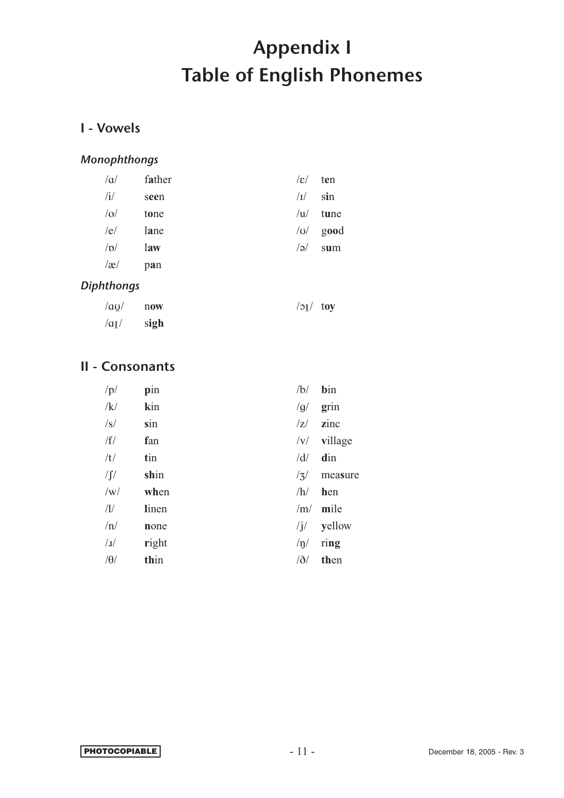# Appendix I Table of English Phonemes

# I - Vowels

### *Monophthongs*

| $/\alpha$ | father | $ \varepsilon $ | ten  |
|-----------|--------|-----------------|------|
| /i/       | seen   | $\sqrt{I}$      | sin  |
| o         | tone   | u               | tune |
| /e/       | lane   | U               | good |
| /D/       | law    | $\sqrt{e}$      | sum  |
| $\alpha$  | pan    |                 |      |
|           |        |                 |      |

### *Diphthongs*

| $\alpha$ /au/ now          | $\sqrt{2}$ / $\sqrt{2}$ |  |
|----------------------------|-------------------------|--|
| $\alpha_{\mathbf{I}}$ sigh |                         |  |

# II - Consonants

| /p/         | pin   | /b/       | bin               |
|-------------|-------|-----------|-------------------|
| /k/         | kin   | /g/       | grin              |
| $\sqrt{s}$  | sin   | Z         | zinc              |
| /f/         | fan   | v         | village           |
| /t/         | tin   | /d/       | din               |
| $\int \int$ | shin  | /3/       | measure           |
| /w/         | when  | /h/       | hen               |
| /1/         | linen |           | $/m/$ mile        |
| /n/         | none  |           | $\sqrt{j}$ yellow |
| 1           | right | /p/       | ring              |
| $/\theta$   | thin  | $\delta/$ | then              |